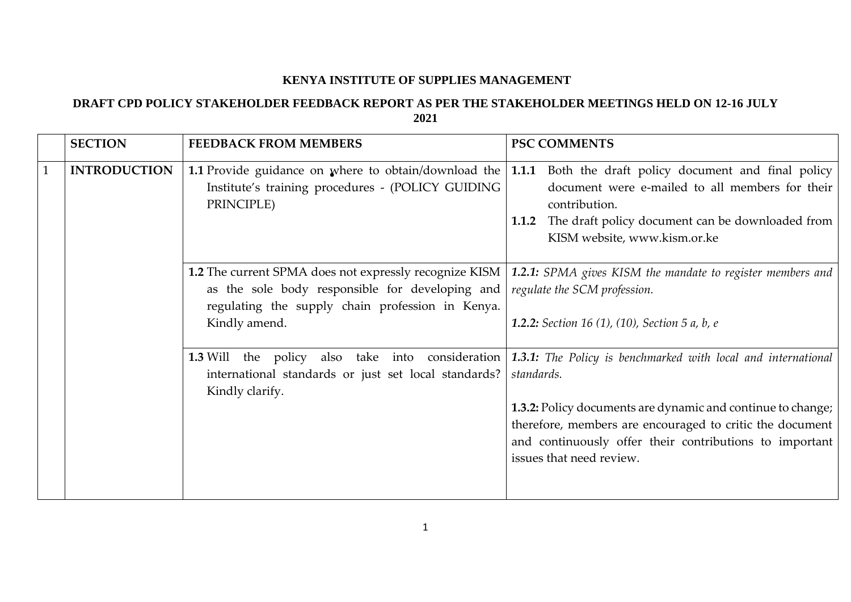## **KENYA INSTITUTE OF SUPPLIES MANAGEMENT**

## **DRAFT CPD POLICY STAKEHOLDER FEEDBACK REPORT AS PER THE STAKEHOLDER MEETINGS HELD ON 12-16 JULY 2021**

| <b>SECTION</b>      | <b>FEEDBACK FROM MEMBERS</b>                                                                                            | <b>PSC COMMENTS</b>                                                                                                                                                                                                                                                                                                                                   |
|---------------------|-------------------------------------------------------------------------------------------------------------------------|-------------------------------------------------------------------------------------------------------------------------------------------------------------------------------------------------------------------------------------------------------------------------------------------------------------------------------------------------------|
| <b>INTRODUCTION</b> | 1.1 Provide guidance on where to obtain/download the<br>Institute's training procedures - (POLICY GUIDING<br>PRINCIPLE) | 1.1.1 Both the draft policy document and final policy<br>document were e-mailed to all members for their<br>contribution.<br>1.1.2 The draft policy document can be downloaded from<br>KISM website, www.kism.or.ke                                                                                                                                   |
|                     | as the sole body responsible for developing and<br>regulating the supply chain profession in Kenya.<br>Kindly amend.    | 1.2 The current SPMA does not expressly recognize KISM   1.2.1: SPMA gives KISM the mandate to register members and<br>regulate the SCM profession.<br><b>1.2.2:</b> Section 16 (1), (10), Section 5 a, b, e                                                                                                                                          |
|                     | international standards or just set local standards?<br>Kindly clarify.                                                 | <b>1.3</b> Will the policy also take into consideration 1.3.1: The Policy is benchmarked with local and international<br>standards.<br>1.3.2: Policy documents are dynamic and continue to change;<br>therefore, members are encouraged to critic the document<br>and continuously offer their contributions to important<br>issues that need review. |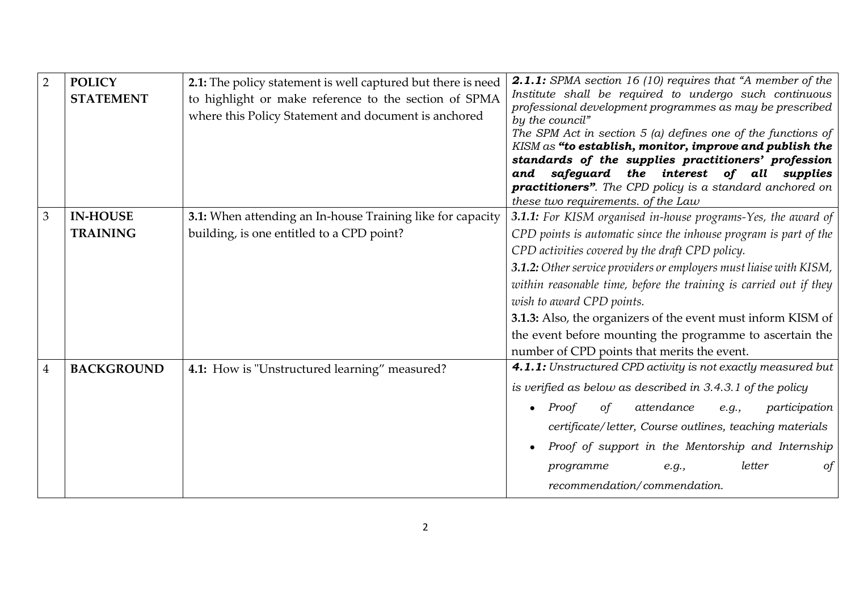| $\overline{2}$ | <b>POLICY</b><br><b>STATEMENT</b>  | 2.1: The policy statement is well captured but there is need<br>to highlight or make reference to the section of SPMA<br>where this Policy Statement and document is anchored | 2.1.1: SPMA section 16 (10) requires that "A member of the<br>Institute shall be required to undergo such continuous<br>professional development programmes as may be prescribed<br>by the council"<br>The SPM Act in section $5$ (a) defines one of the functions of<br>KISM as "to establish, monitor, improve and publish the<br>standards of the supplies practitioners' profession<br>and safeguard the interest of all supplies<br><b>practitioners</b> ". The CPD policy is a standard anchored on<br>these two requirements. of the Law |
|----------------|------------------------------------|-------------------------------------------------------------------------------------------------------------------------------------------------------------------------------|-------------------------------------------------------------------------------------------------------------------------------------------------------------------------------------------------------------------------------------------------------------------------------------------------------------------------------------------------------------------------------------------------------------------------------------------------------------------------------------------------------------------------------------------------|
| 3 <sup>1</sup> | <b>IN-HOUSE</b><br><b>TRAINING</b> | 3.1: When attending an In-house Training like for capacity<br>building, is one entitled to a CPD point?                                                                       | 3.1.1: For KISM organised in-house programs-Yes, the award of<br>CPD points is automatic since the inhouse program is part of the<br>CPD activities covered by the draft CPD policy.<br>3.1.2: Other service providers or employers must liaise with KISM,<br>within reasonable time, before the training is carried out if they<br>wish to award CPD points.<br>3.1.3: Also, the organizers of the event must inform KISM of<br>the event before mounting the programme to ascertain the<br>number of CPD points that merits the event.        |
| $\overline{4}$ | <b>BACKGROUND</b>                  | 4.1: How is "Unstructured learning" measured?                                                                                                                                 | 4.1.1: Unstructured CPD activity is not exactly measured but<br>is verified as below as described in $3.4.3.1$ of the policy<br>attendance<br>Proof<br>of<br>participation<br>e.g.,<br>certificate/letter, Course outlines, teaching materials<br>Proof of support in the Mentorship and Internship<br>letter<br>of<br>programme<br>e.g.,<br>recommendation/commendation.                                                                                                                                                                       |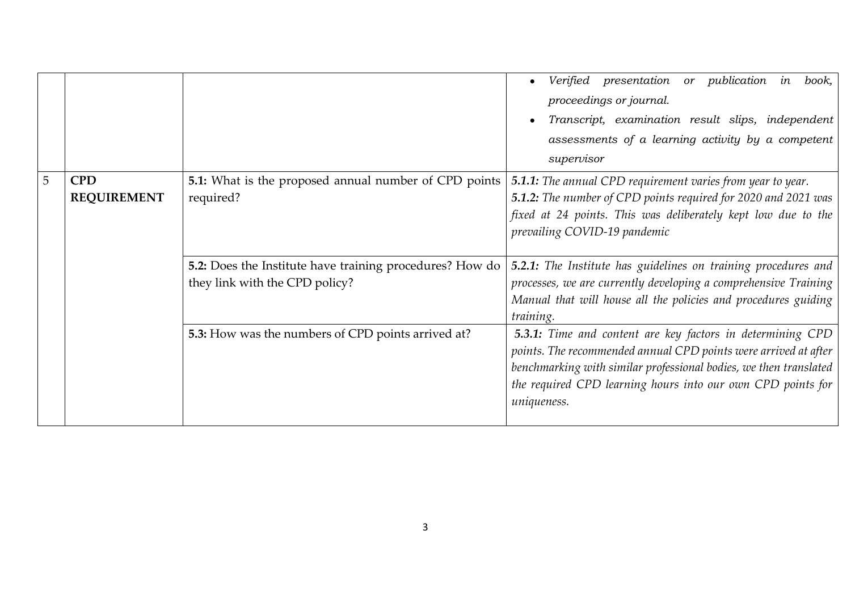|   |                                  |                                                                                            | Verified presentation or publication in<br>book,<br>proceedings or journal.<br>Transcript, examination result slips, independent<br>assessments of a learning activity by a competent<br>supervisor                                                                              |
|---|----------------------------------|--------------------------------------------------------------------------------------------|----------------------------------------------------------------------------------------------------------------------------------------------------------------------------------------------------------------------------------------------------------------------------------|
| 5 | <b>CPD</b><br><b>REQUIREMENT</b> | <b>5.1:</b> What is the proposed annual number of CPD points<br>required?                  | <b>5.1.1:</b> The annual CPD requirement varies from year to year.<br><b>5.1.2:</b> The number of CPD points required for 2020 and 2021 was<br>fixed at 24 points. This was deliberately kept low due to the<br>prevailing COVID-19 pandemic                                     |
|   |                                  | 5.2: Does the Institute have training procedures? How do<br>they link with the CPD policy? | <b>5.2.1:</b> The Institute has guidelines on training procedures and<br>processes, we are currently developing a comprehensive Training<br>Manual that will house all the policies and procedures guiding<br>training.                                                          |
|   |                                  | 5.3: How was the numbers of CPD points arrived at?                                         | 5.3.1: Time and content are key factors in determining CPD<br>points. The recommended annual CPD points were arrived at after<br>benchmarking with similar professional bodies, we then translated<br>the required CPD learning hours into our own CPD points for<br>uniqueness. |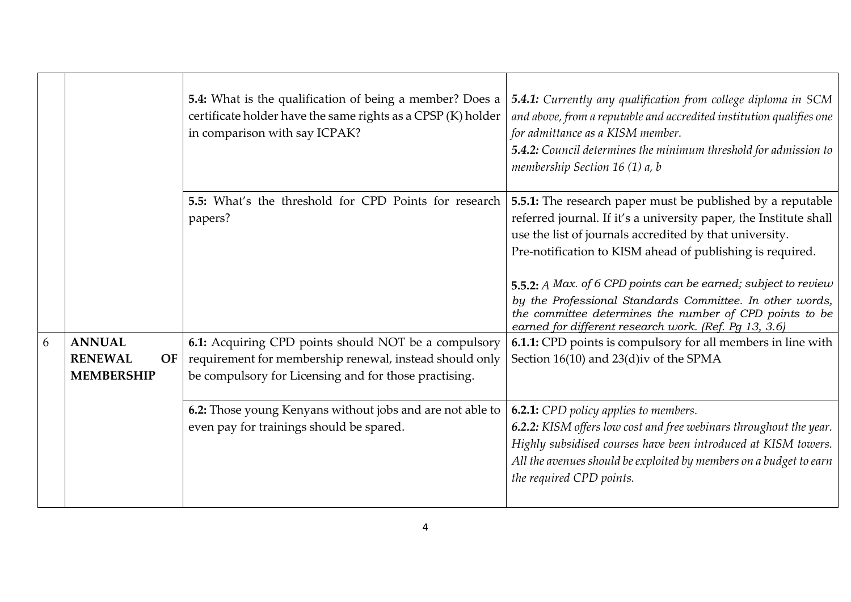|   |                                                            | 5.4: What is the qualification of being a member? Does a<br>certificate holder have the same rights as a CPSP (K) holder<br>in comparison with say ICPAK?                | 5.4.1: Currently any qualification from college diploma in SCM<br>and above, from a reputable and accredited institution qualifies one<br>for admittance as a KISM member.<br>5.4.2: Council determines the minimum threshold for admission to<br>membership Section 16 (1) a, b                                                                                                                                                                                                                            |
|---|------------------------------------------------------------|--------------------------------------------------------------------------------------------------------------------------------------------------------------------------|-------------------------------------------------------------------------------------------------------------------------------------------------------------------------------------------------------------------------------------------------------------------------------------------------------------------------------------------------------------------------------------------------------------------------------------------------------------------------------------------------------------|
|   |                                                            | 5.5: What's the threshold for CPD Points for research<br>papers?                                                                                                         | 5.5.1: The research paper must be published by a reputable<br>referred journal. If it's a university paper, the Institute shall<br>use the list of journals accredited by that university.<br>Pre-notification to KISM ahead of publishing is required.<br>5.5.2: $A$ Max. of 6 CPD points can be earned; subject to review<br>by the Professional Standards Committee. In other words,<br>the committee determines the number of CPD points to be<br>earned for different research work. (Ref. Pg 13, 3.6) |
| 6 | <b>ANNUAL</b><br><b>RENEWAL</b><br>OF<br><b>MEMBERSHIP</b> | 6.1: Acquiring CPD points should NOT be a compulsory<br>requirement for membership renewal, instead should only<br>be compulsory for Licensing and for those practising. | 6.1.1: CPD points is compulsory for all members in line with<br>Section 16(10) and 23(d) iv of the SPMA                                                                                                                                                                                                                                                                                                                                                                                                     |
|   |                                                            | 6.2: Those young Kenyans without jobs and are not able to<br>even pay for trainings should be spared.                                                                    | <b>6.2.1:</b> CPD policy applies to members.<br>6.2.2: KISM offers low cost and free webinars throughout the year.<br>Highly subsidised courses have been introduced at KISM towers.<br>All the avenues should be exploited by members on a budget to earn<br>the required CPD points.                                                                                                                                                                                                                      |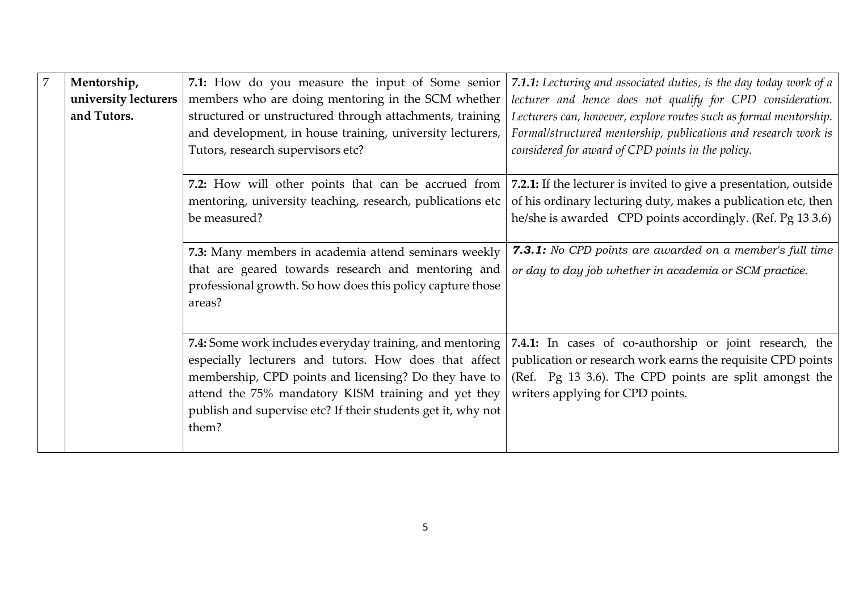| $\overline{7}$ | Mentorship,          | 7.1: How do you measure the input of Some senior             | 7.1.1: Lecturing and associated duties, is the day today work of a |
|----------------|----------------------|--------------------------------------------------------------|--------------------------------------------------------------------|
|                | university lecturers | members who are doing mentoring in the SCM whether           | lecturer and hence does not qualify for CPD consideration.         |
|                | and Tutors.          | structured or unstructured through attachments, training     | Lecturers can, however, explore routes such as formal mentorship.  |
|                |                      | and development, in house training, university lecturers,    | Formal/structured mentorship, publications and research work is    |
|                |                      | Tutors, research supervisors etc?                            | considered for award of CPD points in the policy.                  |
|                |                      | 7.2: How will other points that can be accrued from          | 7.2.1: If the lecturer is invited to give a presentation, outside  |
|                |                      | mentoring, university teaching, research, publications etc   | of his ordinary lecturing duty, makes a publication etc, then      |
|                |                      | be measured?                                                 | he/she is awarded CPD points accordingly. (Ref. Pg 13 3.6)         |
|                |                      |                                                              |                                                                    |
|                |                      | 7.3: Many members in academia attend seminars weekly         | 7.3.1: No CPD points are awarded on a member's full time           |
|                |                      | that are geared towards research and mentoring and           | or day to day job whether in academia or SCM practice.             |
|                |                      | professional growth. So how does this policy capture those   |                                                                    |
|                |                      | areas?                                                       |                                                                    |
|                |                      |                                                              |                                                                    |
|                |                      | 7.4: Some work includes everyday training, and mentoring     | 7.4.1: In cases of co-authorship or joint research, the            |
|                |                      | especially lecturers and tutors. How does that affect        | publication or research work earns the requisite CPD points        |
|                |                      | membership, CPD points and licensing? Do they have to        | (Ref. Pg 13 3.6). The CPD points are split amongst the             |
|                |                      | attend the 75% mandatory KISM training and yet they          | writers applying for CPD points.                                   |
|                |                      | publish and supervise etc? If their students get it, why not |                                                                    |
|                |                      | them?                                                        |                                                                    |
|                |                      |                                                              |                                                                    |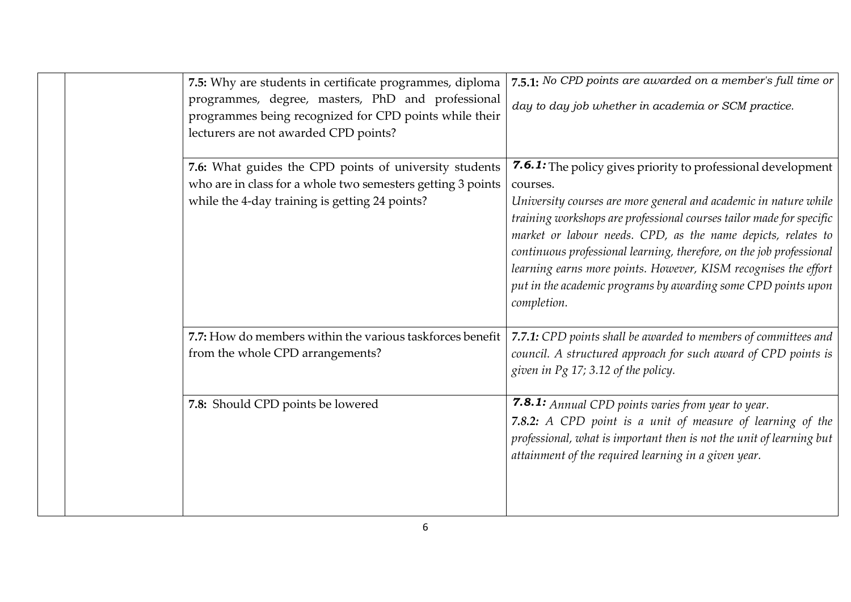| 7.5: Why are students in certificate programmes, diploma<br>programmes, degree, masters, PhD and professional<br>programmes being recognized for CPD points while their<br>lecturers are not awarded CPD points? | 7.5.1: No CPD points are awarded on a member's full time or<br>day to day job whether in academia or SCM practice.                                                                                                                                                                                                                                                                                                                                                                                              |
|------------------------------------------------------------------------------------------------------------------------------------------------------------------------------------------------------------------|-----------------------------------------------------------------------------------------------------------------------------------------------------------------------------------------------------------------------------------------------------------------------------------------------------------------------------------------------------------------------------------------------------------------------------------------------------------------------------------------------------------------|
| 7.6: What guides the CPD points of university students<br>who are in class for a whole two semesters getting 3 points<br>while the 4-day training is getting 24 points?                                          | 7.6.1: The policy gives priority to professional development<br>courses.<br>University courses are more general and academic in nature while<br>training workshops are professional courses tailor made for specific<br>market or labour needs. CPD, as the name depicts, relates to<br>continuous professional learning, therefore, on the job professional<br>learning earns more points. However, KISM recognises the effort<br>put in the academic programs by awarding some CPD points upon<br>completion. |
| 7.7: How do members within the various taskforces benefit<br>from the whole CPD arrangements?                                                                                                                    | 7.7.1: CPD points shall be awarded to members of committees and<br>council. A structured approach for such award of CPD points is<br>given in Pg 17; 3.12 of the policy.                                                                                                                                                                                                                                                                                                                                        |
| 7.8: Should CPD points be lowered                                                                                                                                                                                | <b>7.8.1:</b> Annual CPD points varies from year to year.<br>7.8.2: A CPD point is a unit of measure of learning of the<br>professional, what is important then is not the unit of learning but<br>attainment of the required learning in a given year.                                                                                                                                                                                                                                                         |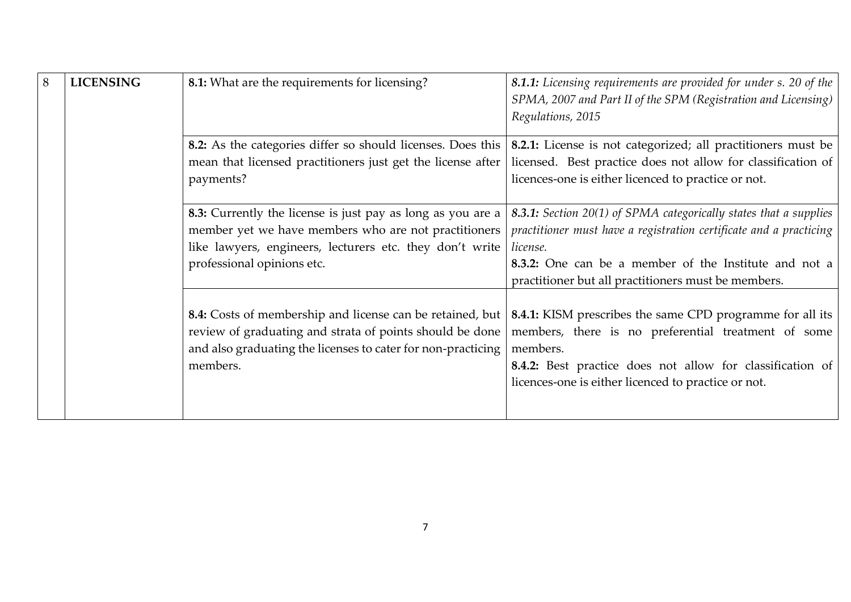| 8 | <b>LICENSING</b> | 8.1: What are the requirements for licensing?                                                                                                                                                                 | 8.1.1: Licensing requirements are provided for under s. 20 of the<br>SPMA, 2007 and Part II of the SPM (Registration and Licensing)<br>Regulations, 2015                                                                                                            |
|---|------------------|---------------------------------------------------------------------------------------------------------------------------------------------------------------------------------------------------------------|---------------------------------------------------------------------------------------------------------------------------------------------------------------------------------------------------------------------------------------------------------------------|
|   |                  | 8.2: As the categories differ so should licenses. Does this<br>mean that licensed practitioners just get the license after<br>payments?                                                                       | 8.2.1: License is not categorized; all practitioners must be<br>licensed. Best practice does not allow for classification of<br>licences-one is either licenced to practice or not.                                                                                 |
|   |                  | 8.3: Currently the license is just pay as long as you are a<br>member yet we have members who are not practitioners<br>like lawyers, engineers, lecturers etc. they don't write<br>professional opinions etc. | 8.3.1: Section 20(1) of SPMA categorically states that a supplies<br>practitioner must have a registration certificate and a practicing<br>license.<br>8.3.2: One can be a member of the Institute and not a<br>practitioner but all practitioners must be members. |
|   |                  | 8.4: Costs of membership and license can be retained, but<br>review of graduating and strata of points should be done<br>and also graduating the licenses to cater for non-practicing<br>members.             | 8.4.1: KISM prescribes the same CPD programme for all its<br>members, there is no preferential treatment of some<br>members.<br>8.4.2: Best practice does not allow for classification of<br>licences-one is either licenced to practice or not.                    |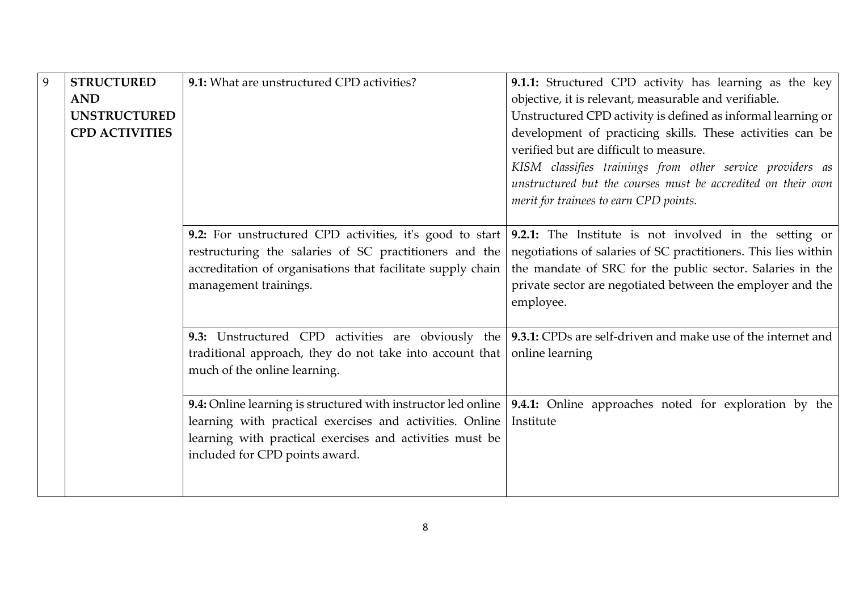| 9 | <b>STRUCTURED</b>     | 9.1: What are unstructured CPD activities?                                 | 9.1.1: Structured CPD activity has learning as the key                                                                  |
|---|-----------------------|----------------------------------------------------------------------------|-------------------------------------------------------------------------------------------------------------------------|
|   | <b>AND</b>            |                                                                            | objective, it is relevant, measurable and verifiable.                                                                   |
|   | <b>UNSTRUCTURED</b>   |                                                                            | Unstructured CPD activity is defined as informal learning or                                                            |
|   | <b>CPD ACTIVITIES</b> |                                                                            | development of practicing skills. These activities can be                                                               |
|   |                       |                                                                            | verified but are difficult to measure.                                                                                  |
|   |                       |                                                                            | KISM classifies trainings from other service providers as                                                               |
|   |                       |                                                                            | unstructured but the courses must be accredited on their own                                                            |
|   |                       |                                                                            | merit for trainees to earn CPD points.                                                                                  |
|   |                       |                                                                            |                                                                                                                         |
|   |                       |                                                                            | 9.2: For unstructured CPD activities, it's good to start $\vert$ 9.2.1: The Institute is not involved in the setting or |
|   |                       | restructuring the salaries of SC practitioners and the                     | negotiations of salaries of SC practitioners. This lies within                                                          |
|   |                       | accreditation of organisations that facilitate supply chain                | the mandate of SRC for the public sector. Salaries in the                                                               |
|   |                       | management trainings.                                                      | private sector are negotiated between the employer and the                                                              |
|   |                       |                                                                            | employee.                                                                                                               |
|   |                       |                                                                            | 9.3: Unstructured CPD activities are obviously the 9.3.1: CPDs are self-driven and make use of the internet and         |
|   |                       | traditional approach, they do not take into account that   online learning |                                                                                                                         |
|   |                       | much of the online learning.                                               |                                                                                                                         |
|   |                       |                                                                            |                                                                                                                         |
|   |                       |                                                                            | 9.4: Online learning is structured with instructor led online   9.4.1: Online approaches noted for exploration by the   |
|   |                       | learning with practical exercises and activities. Online                   | Institute                                                                                                               |
|   |                       | learning with practical exercises and activities must be                   |                                                                                                                         |
|   |                       | included for CPD points award.                                             |                                                                                                                         |
|   |                       |                                                                            |                                                                                                                         |
|   |                       |                                                                            |                                                                                                                         |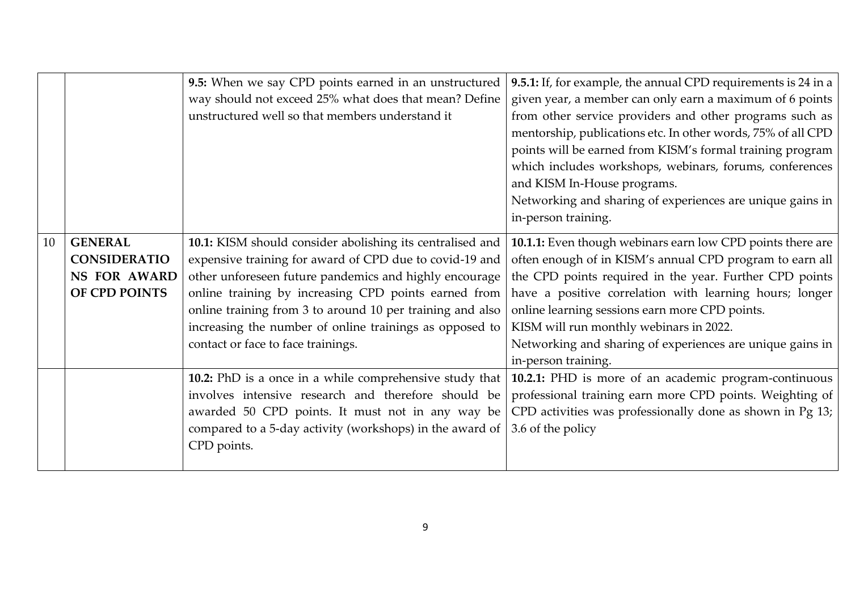|    |                                                                               | 9.5: When we say CPD points earned in an unstructured<br>way should not exceed 25% what does that mean? Define<br>unstructured well so that members understand it                                                                                                                                                                                                                                    | 9.5.1: If, for example, the annual CPD requirements is 24 in a<br>given year, a member can only earn a maximum of 6 points<br>from other service providers and other programs such as<br>mentorship, publications etc. In other words, 75% of all CPD<br>points will be earned from KISM's formal training program<br>which includes workshops, webinars, forums, conferences<br>and KISM In-House programs.<br>Networking and sharing of experiences are unique gains in<br>in-person training. |
|----|-------------------------------------------------------------------------------|------------------------------------------------------------------------------------------------------------------------------------------------------------------------------------------------------------------------------------------------------------------------------------------------------------------------------------------------------------------------------------------------------|--------------------------------------------------------------------------------------------------------------------------------------------------------------------------------------------------------------------------------------------------------------------------------------------------------------------------------------------------------------------------------------------------------------------------------------------------------------------------------------------------|
| 10 | <b>GENERAL</b><br><b>CONSIDERATIO</b><br><b>NS FOR AWARD</b><br>OF CPD POINTS | 10.1: KISM should consider abolishing its centralised and<br>expensive training for award of CPD due to covid-19 and<br>other unforeseen future pandemics and highly encourage<br>online training by increasing CPD points earned from<br>online training from 3 to around 10 per training and also<br>increasing the number of online trainings as opposed to<br>contact or face to face trainings. | 10.1.1: Even though webinars earn low CPD points there are<br>often enough of in KISM's annual CPD program to earn all<br>the CPD points required in the year. Further CPD points<br>have a positive correlation with learning hours; longer<br>online learning sessions earn more CPD points.<br>KISM will run monthly webinars in 2022.<br>Networking and sharing of experiences are unique gains in<br>in-person training.                                                                    |
|    |                                                                               | 10.2: PhD is a once in a while comprehensive study that<br>involves intensive research and therefore should be<br>awarded 50 CPD points. It must not in any way be<br>compared to a 5-day activity (workshops) in the award of<br>CPD points.                                                                                                                                                        | 10.2.1: PHD is more of an academic program-continuous<br>professional training earn more CPD points. Weighting of<br>CPD activities was professionally done as shown in Pg 13;<br>3.6 of the policy                                                                                                                                                                                                                                                                                              |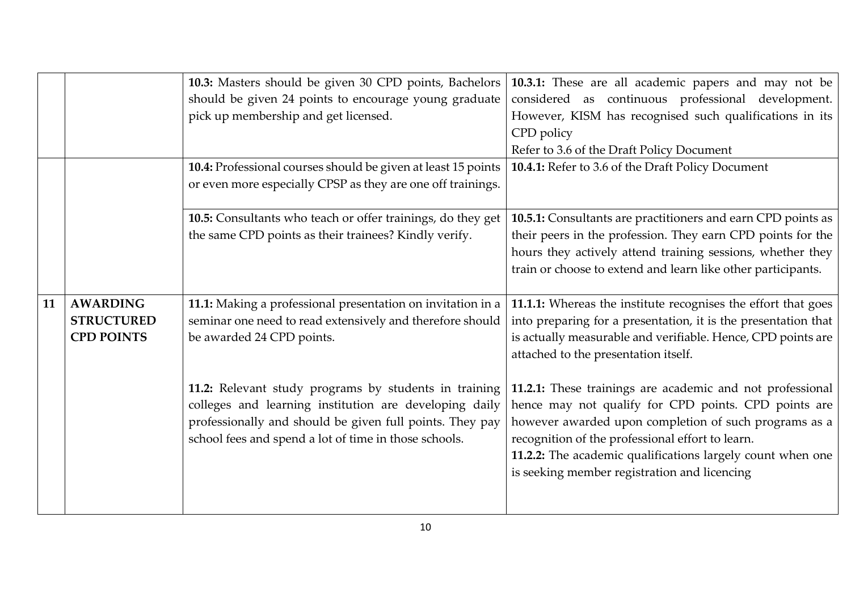|    |                                                           | 10.3: Masters should be given 30 CPD points, Bachelors<br>should be given 24 points to encourage young graduate<br>pick up membership and get licensed.<br>10.4: Professional courses should be given at least 15 points                                                                                                                                                                      | 10.3.1: These are all academic papers and may not be<br>considered as continuous professional development.<br>However, KISM has recognised such qualifications in its<br>CPD policy<br>Refer to 3.6 of the Draft Policy Document<br>10.4.1: Refer to 3.6 of the Draft Policy Document                                                                                                                                                                                                                                                                                                   |
|----|-----------------------------------------------------------|-----------------------------------------------------------------------------------------------------------------------------------------------------------------------------------------------------------------------------------------------------------------------------------------------------------------------------------------------------------------------------------------------|-----------------------------------------------------------------------------------------------------------------------------------------------------------------------------------------------------------------------------------------------------------------------------------------------------------------------------------------------------------------------------------------------------------------------------------------------------------------------------------------------------------------------------------------------------------------------------------------|
|    |                                                           | or even more especially CPSP as they are one off trainings.<br>10.5: Consultants who teach or offer trainings, do they get<br>the same CPD points as their trainees? Kindly verify.                                                                                                                                                                                                           | 10.5.1: Consultants are practitioners and earn CPD points as<br>their peers in the profession. They earn CPD points for the<br>hours they actively attend training sessions, whether they<br>train or choose to extend and learn like other participants.                                                                                                                                                                                                                                                                                                                               |
| 11 | <b>AWARDING</b><br><b>STRUCTURED</b><br><b>CPD POINTS</b> | 11.1: Making a professional presentation on invitation in a<br>seminar one need to read extensively and therefore should<br>be awarded 24 CPD points.<br>11.2: Relevant study programs by students in training<br>colleges and learning institution are developing daily<br>professionally and should be given full points. They pay<br>school fees and spend a lot of time in those schools. | 11.1.1: Whereas the institute recognises the effort that goes<br>into preparing for a presentation, it is the presentation that<br>is actually measurable and verifiable. Hence, CPD points are<br>attached to the presentation itself.<br>11.2.1: These trainings are academic and not professional<br>hence may not qualify for CPD points. CPD points are<br>however awarded upon completion of such programs as a<br>recognition of the professional effort to learn.<br>11.2.2: The academic qualifications largely count when one<br>is seeking member registration and licencing |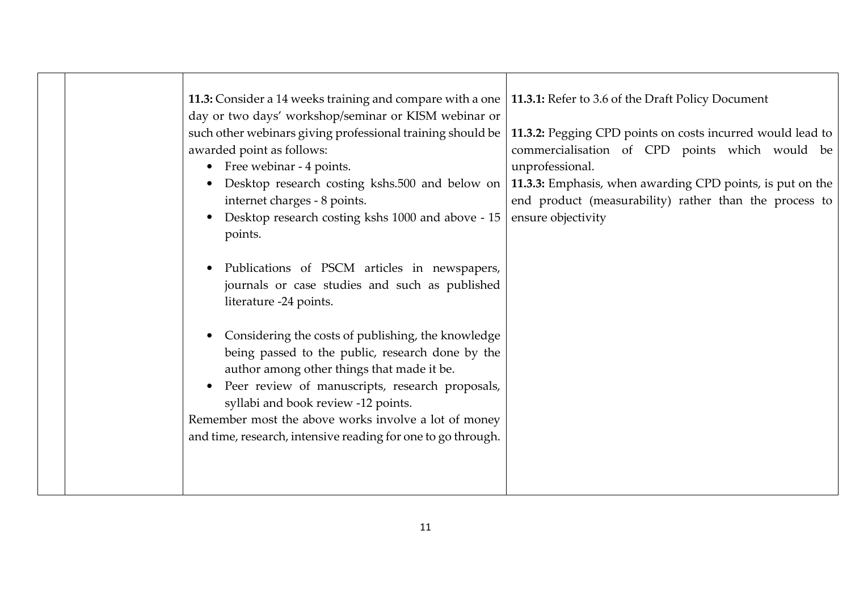|  | 11.3: Consider a 14 weeks training and compare with a one   11.3.1: Refer to 3.6 of the Draft Policy Document<br>day or two days' workshop/seminar or KISM webinar or<br>such other webinars giving professional training should be<br>awarded point as follows:<br>• Free webinar - 4 points.<br>$\bullet$<br>internet charges - 8 points.<br>Desktop research costing kshs 1000 and above - 15<br>$\bullet$<br>points. | 11.3.2: Pegging CPD points on costs incurred would lead to<br>commercialisation of CPD points which would be<br>unprofessional.<br>Desktop research costing kshs.500 and below on   11.3.3: Emphasis, when awarding CPD points, is put on the<br>end product (measurability) rather than the process to<br>ensure objectivity |
|--|--------------------------------------------------------------------------------------------------------------------------------------------------------------------------------------------------------------------------------------------------------------------------------------------------------------------------------------------------------------------------------------------------------------------------|-------------------------------------------------------------------------------------------------------------------------------------------------------------------------------------------------------------------------------------------------------------------------------------------------------------------------------|
|  | Publications of PSCM articles in newspapers,<br>$\bullet$<br>journals or case studies and such as published<br>literature -24 points.<br>Considering the costs of publishing, the knowledge<br>$\bullet$<br>being passed to the public, research done by the<br>author among other things that made it be.                                                                                                               |                                                                                                                                                                                                                                                                                                                               |
|  | Peer review of manuscripts, research proposals,<br>$\bullet$<br>syllabi and book review -12 points.<br>Remember most the above works involve a lot of money<br>and time, research, intensive reading for one to go through.                                                                                                                                                                                              |                                                                                                                                                                                                                                                                                                                               |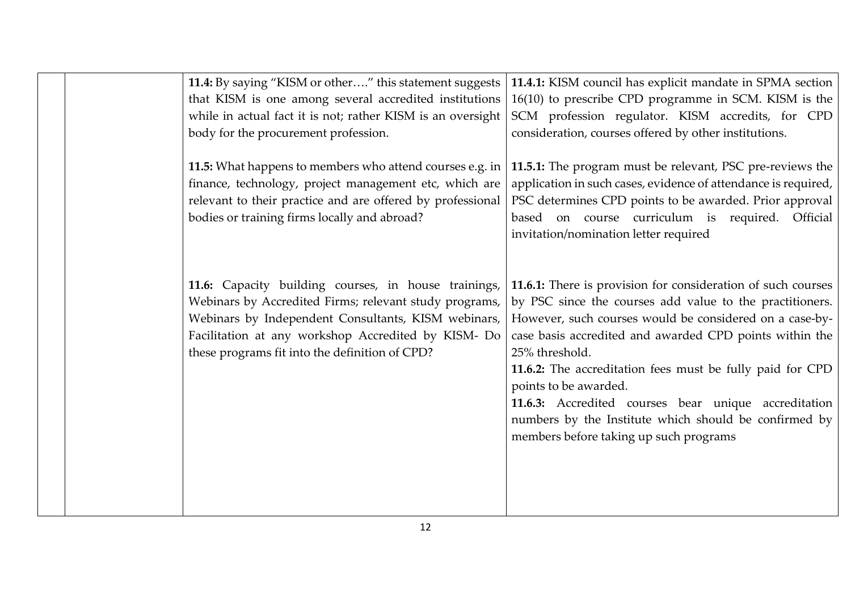| 11.4: By saying "KISM or other" this statement suggests<br>that KISM is one among several accredited institutions<br>while in actual fact it is not; rather KISM is an oversight<br>body for the procurement profession.                                                       | 11.4.1: KISM council has explicit mandate in SPMA section<br>16(10) to prescribe CPD programme in SCM. KISM is the<br>SCM profession regulator. KISM accredits, for CPD<br>consideration, courses offered by other institutions.                                                                                                                                                                                                                                                                                  |
|--------------------------------------------------------------------------------------------------------------------------------------------------------------------------------------------------------------------------------------------------------------------------------|-------------------------------------------------------------------------------------------------------------------------------------------------------------------------------------------------------------------------------------------------------------------------------------------------------------------------------------------------------------------------------------------------------------------------------------------------------------------------------------------------------------------|
| 11.5: What happens to members who attend courses e.g. in<br>finance, technology, project management etc, which are<br>relevant to their practice and are offered by professional<br>bodies or training firms locally and abroad?                                               | 11.5.1: The program must be relevant, PSC pre-reviews the<br>application in such cases, evidence of attendance is required,<br>PSC determines CPD points to be awarded. Prior approval<br>based on course curriculum is required. Official<br>invitation/nomination letter required                                                                                                                                                                                                                               |
| 11.6: Capacity building courses, in house trainings,<br>Webinars by Accredited Firms; relevant study programs,<br>Webinars by Independent Consultants, KISM webinars,<br>Facilitation at any workshop Accredited by KISM- Do<br>these programs fit into the definition of CPD? | 11.6.1: There is provision for consideration of such courses<br>by PSC since the courses add value to the practitioners.<br>However, such courses would be considered on a case-by-<br>case basis accredited and awarded CPD points within the<br>25% threshold.<br>11.6.2: The accreditation fees must be fully paid for CPD<br>points to be awarded.<br>11.6.3: Accredited courses bear unique accreditation<br>numbers by the Institute which should be confirmed by<br>members before taking up such programs |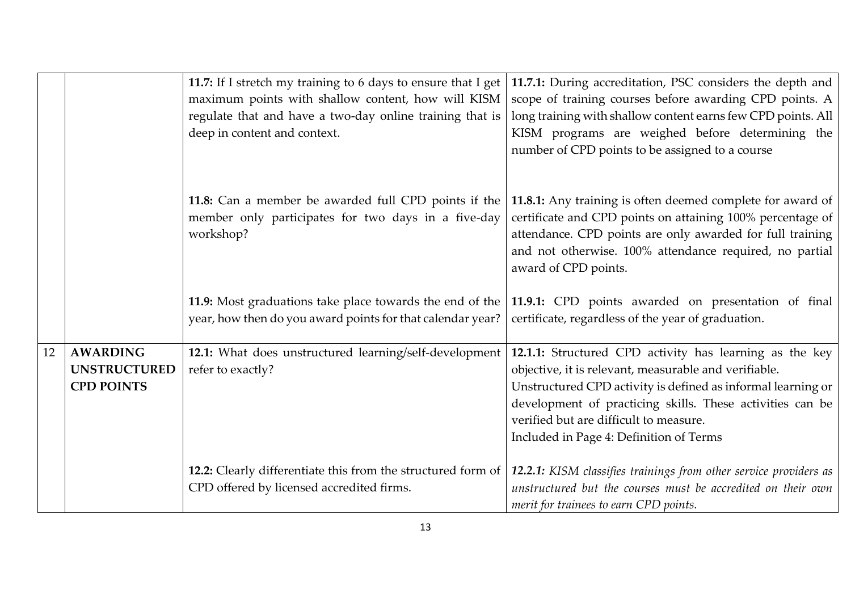|    |                                                             | 11.7: If I stretch my training to 6 days to ensure that I get<br>maximum points with shallow content, how will KISM<br>regulate that and have a two-day online training that is<br>deep in content and context. | 11.7.1: During accreditation, PSC considers the depth and<br>scope of training courses before awarding CPD points. A<br>long training with shallow content earns few CPD points. All<br>KISM programs are weighed before determining the<br>number of CPD points to be assigned to a course                                        |
|----|-------------------------------------------------------------|-----------------------------------------------------------------------------------------------------------------------------------------------------------------------------------------------------------------|------------------------------------------------------------------------------------------------------------------------------------------------------------------------------------------------------------------------------------------------------------------------------------------------------------------------------------|
|    |                                                             | 11.8: Can a member be awarded full CPD points if the<br>member only participates for two days in a five-day<br>workshop?                                                                                        | 11.8.1: Any training is often deemed complete for award of<br>certificate and CPD points on attaining 100% percentage of<br>attendance. CPD points are only awarded for full training<br>and not otherwise. 100% attendance required, no partial<br>award of CPD points.                                                           |
|    |                                                             | 11.9: Most graduations take place towards the end of the<br>year, how then do you award points for that calendar year?                                                                                          | 11.9.1: CPD points awarded on presentation of final<br>certificate, regardless of the year of graduation.                                                                                                                                                                                                                          |
| 12 | <b>AWARDING</b><br><b>UNSTRUCTURED</b><br><b>CPD POINTS</b> | 12.1: What does unstructured learning/self-development<br>refer to exactly?                                                                                                                                     | 12.1.1: Structured CPD activity has learning as the key<br>objective, it is relevant, measurable and verifiable.<br>Unstructured CPD activity is defined as informal learning or<br>development of practicing skills. These activities can be<br>verified but are difficult to measure.<br>Included in Page 4: Definition of Terms |
|    |                                                             | 12.2: Clearly differentiate this from the structured form of<br>CPD offered by licensed accredited firms.                                                                                                       | 12.2.1: KISM classifies trainings from other service providers as<br>unstructured but the courses must be accredited on their own<br>merit for trainees to earn CPD points.                                                                                                                                                        |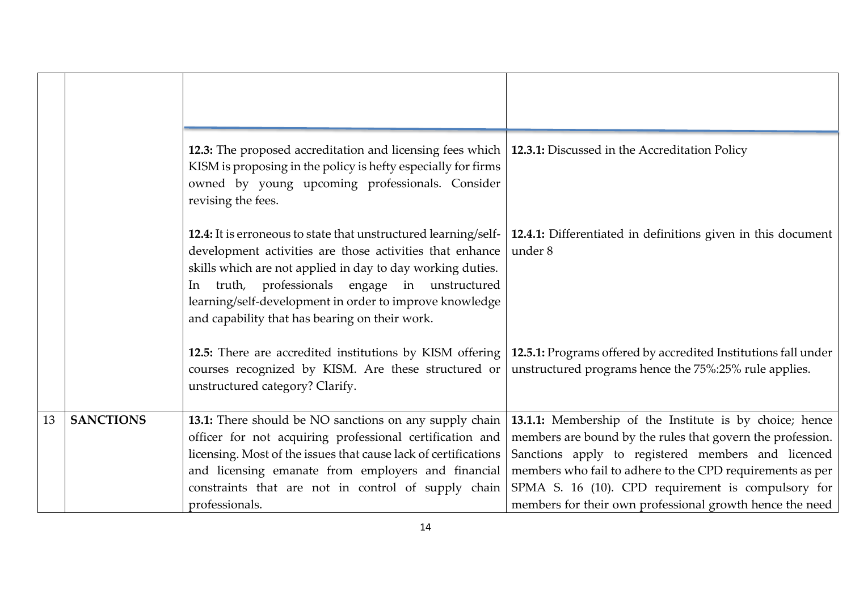|    |                  | 12.3: The proposed accreditation and licensing fees which   12.3.1: Discussed in the Accreditation Policy<br>KISM is proposing in the policy is hefty especially for firms<br>owned by young upcoming professionals. Consider<br>revising the fees.                                                                                                          |                                                                                                                                                                                                                                                                                                                                                            |
|----|------------------|--------------------------------------------------------------------------------------------------------------------------------------------------------------------------------------------------------------------------------------------------------------------------------------------------------------------------------------------------------------|------------------------------------------------------------------------------------------------------------------------------------------------------------------------------------------------------------------------------------------------------------------------------------------------------------------------------------------------------------|
|    |                  | 12.4: It is erroneous to state that unstructured learning/self-<br>development activities are those activities that enhance<br>skills which are not applied in day to day working duties.<br>truth, professionals engage in unstructured<br>In.<br>learning/self-development in order to improve knowledge<br>and capability that has bearing on their work. | 12.4.1: Differentiated in definitions given in this document<br>under 8                                                                                                                                                                                                                                                                                    |
|    |                  | 12.5: There are accredited institutions by KISM offering<br>courses recognized by KISM. Are these structured or<br>unstructured category? Clarify.                                                                                                                                                                                                           | 12.5.1: Programs offered by accredited Institutions fall under<br>unstructured programs hence the 75%:25% rule applies.                                                                                                                                                                                                                                    |
| 13 | <b>SANCTIONS</b> | 13.1: There should be NO sanctions on any supply chain  <br>officer for not acquiring professional certification and<br>licensing. Most of the issues that cause lack of certifications<br>and licensing emanate from employers and financial<br>constraints that are not in control of supply chain<br>professionals.                                       | 13.1.1: Membership of the Institute is by choice; hence<br>members are bound by the rules that govern the profession.<br>Sanctions apply to registered members and licenced<br>members who fail to adhere to the CPD requirements as per<br>SPMA S. 16 (10). CPD requirement is compulsory for<br>members for their own professional growth hence the need |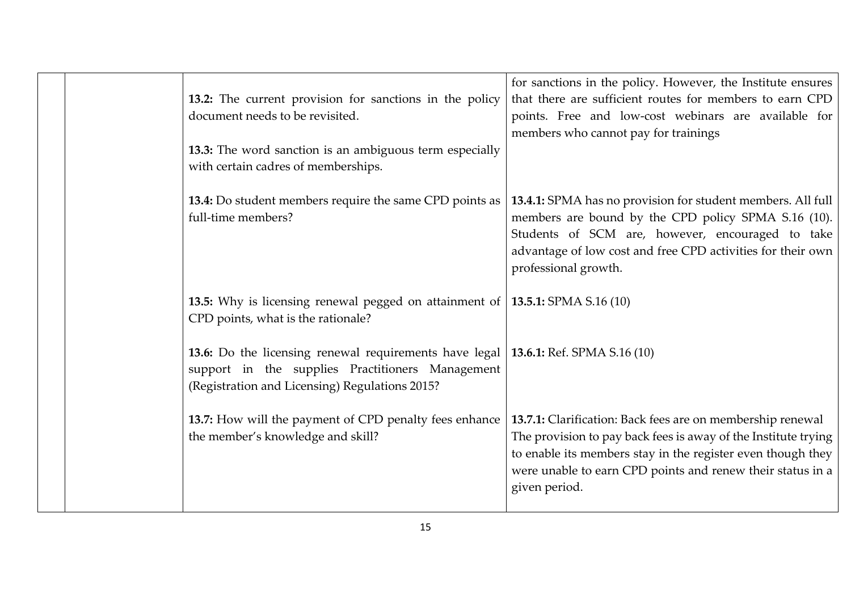|  | 13.2: The current provision for sanctions in the policy<br>document needs to be revisited.<br>13.3: The word sanction is an ambiguous term especially<br>with certain cadres of memberships. | for sanctions in the policy. However, the Institute ensures<br>that there are sufficient routes for members to earn CPD<br>points. Free and low-cost webinars are available for<br>members who cannot pay for trainings                                                    |
|--|----------------------------------------------------------------------------------------------------------------------------------------------------------------------------------------------|----------------------------------------------------------------------------------------------------------------------------------------------------------------------------------------------------------------------------------------------------------------------------|
|  | 13.4: Do student members require the same CPD points as<br>full-time members?                                                                                                                | 13.4.1: SPMA has no provision for student members. All full<br>members are bound by the CPD policy SPMA S.16 (10).<br>Students of SCM are, however, encouraged to take<br>advantage of low cost and free CPD activities for their own<br>professional growth.              |
|  | <b>13.5:</b> Why is licensing renewal pegged on attainment of $\vert$ <b>13.5.1:</b> SPMA S.16 (10)<br>CPD points, what is the rationale?                                                    |                                                                                                                                                                                                                                                                            |
|  | 13.6: Do the licensing renewal requirements have legal   13.6.1: Ref. SPMA S.16 (10)<br>support in the supplies Practitioners Management<br>(Registration and Licensing) Regulations 2015?   |                                                                                                                                                                                                                                                                            |
|  | 13.7: How will the payment of CPD penalty fees enhance<br>the member's knowledge and skill?                                                                                                  | 13.7.1: Clarification: Back fees are on membership renewal<br>The provision to pay back fees is away of the Institute trying<br>to enable its members stay in the register even though they<br>were unable to earn CPD points and renew their status in a<br>given period. |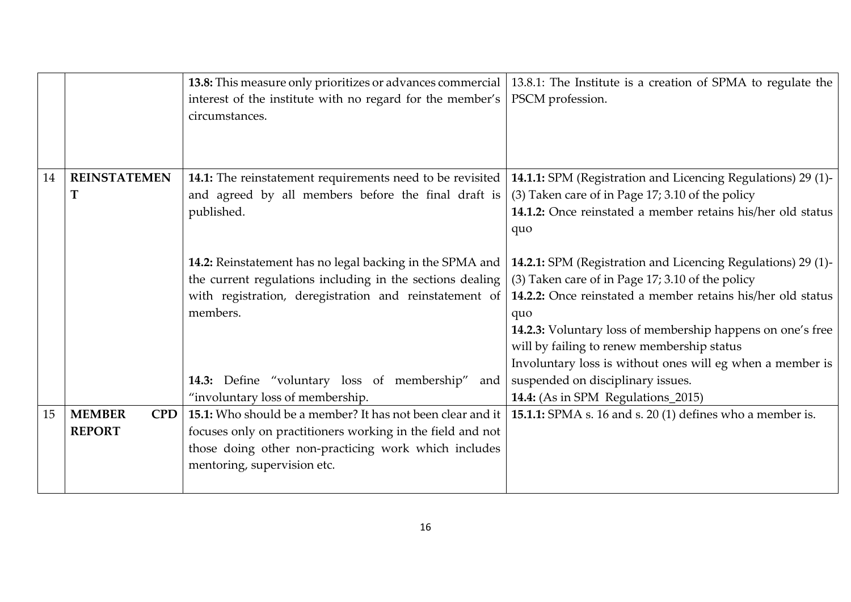|    |                             | 13.8: This measure only prioritizes or advances commercial | 13.8.1: The Institute is a creation of SPMA to regulate the  |
|----|-----------------------------|------------------------------------------------------------|--------------------------------------------------------------|
|    |                             | interest of the institute with no regard for the member's  | PSCM profession.                                             |
|    |                             | circumstances.                                             |                                                              |
|    |                             |                                                            |                                                              |
|    |                             |                                                            |                                                              |
|    |                             |                                                            |                                                              |
| 14 | <b>REINSTATEMEN</b>         | 14.1: The reinstatement requirements need to be revisited  | 14.1.1: SPM (Registration and Licencing Regulations) 29 (1)- |
|    | Т                           | and agreed by all members before the final draft is        | (3) Taken care of in Page 17; 3.10 of the policy             |
|    |                             | published.                                                 | 14.1.2: Once reinstated a member retains his/her old status  |
|    |                             |                                                            | quo                                                          |
|    |                             |                                                            |                                                              |
|    |                             | 14.2: Reinstatement has no legal backing in the SPMA and   | 14.2.1: SPM (Registration and Licencing Regulations) 29 (1)- |
|    |                             | the current regulations including in the sections dealing  | (3) Taken care of in Page 17; 3.10 of the policy             |
|    |                             | with registration, deregistration and reinstatement of     | 14.2.2: Once reinstated a member retains his/her old status  |
|    |                             | members.                                                   | quo                                                          |
|    |                             |                                                            | 14.2.3: Voluntary loss of membership happens on one's free   |
|    |                             |                                                            | will by failing to renew membership status                   |
|    |                             |                                                            | Involuntary loss is without ones will eg when a member is    |
|    |                             | 14.3: Define "voluntary loss of membership"<br>and         | suspended on disciplinary issues.                            |
|    |                             | "involuntary loss of membership.                           | 14.4: (As in SPM Regulations_2015)                           |
| 15 | <b>MEMBER</b><br><b>CPD</b> | 15.1: Who should be a member? It has not been clear and it | 15.1.1: SPMA s. 16 and s. 20 (1) defines who a member is.    |
|    | <b>REPORT</b>               | focuses only on practitioners working in the field and not |                                                              |
|    |                             | those doing other non-practicing work which includes       |                                                              |
|    |                             | mentoring, supervision etc.                                |                                                              |
|    |                             |                                                            |                                                              |
|    |                             |                                                            |                                                              |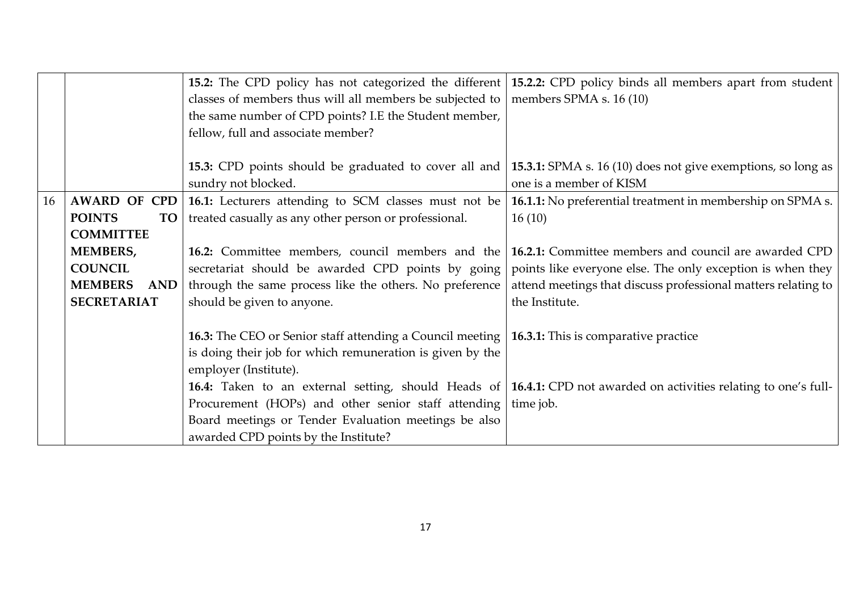|    |                       |                                                                  | 15.2: The CPD policy has not categorized the different 15.2.2: CPD policy binds all members apart from student      |
|----|-----------------------|------------------------------------------------------------------|---------------------------------------------------------------------------------------------------------------------|
|    |                       | classes of members thus will all members be subjected to         | members SPMA s. 16 (10)                                                                                             |
|    |                       | the same number of CPD points? I.E the Student member,           |                                                                                                                     |
|    |                       | fellow, full and associate member?                               |                                                                                                                     |
|    |                       |                                                                  |                                                                                                                     |
|    |                       | 15.3: CPD points should be graduated to cover all and            | <b>15.3.1:</b> SPMA s. 16 (10) does not give exemptions, so long as                                                 |
|    |                       | sundry not blocked.                                              | one is a member of KISM                                                                                             |
| 16 | <b>AWARD OF CPD</b>   | 16.1: Lecturers attending to SCM classes must not be             | <b>16.1.1:</b> No preferential treatment in membership on SPMA s.                                                   |
|    | <b>POINTS</b><br>TO   | treated casually as any other person or professional.            | 16(10)                                                                                                              |
|    | <b>COMMITTEE</b>      |                                                                  |                                                                                                                     |
|    | <b>MEMBERS,</b>       | 16.2: Committee members, council members and the                 | 16.2.1: Committee members and council are awarded CPD                                                               |
|    | <b>COUNCIL</b>        | secretariat should be awarded CPD points by going                | points like everyone else. The only exception is when they                                                          |
|    | <b>MEMBERS</b><br>AND | through the same process like the others. No preference          | attend meetings that discuss professional matters relating to                                                       |
|    | <b>SECRETARIAT</b>    | should be given to anyone.                                       | the Institute.                                                                                                      |
|    |                       |                                                                  |                                                                                                                     |
|    |                       | <b>16.3:</b> The CEO or Senior staff attending a Council meeting | 16.3.1: This is comparative practice                                                                                |
|    |                       | is doing their job for which remuneration is given by the        |                                                                                                                     |
|    |                       | employer (Institute).                                            |                                                                                                                     |
|    |                       |                                                                  | 16.4: Taken to an external setting, should Heads of   16.4.1: CPD not awarded on activities relating to one's full- |
|    |                       | Procurement (HOPs) and other senior staff attending              | time job.                                                                                                           |
|    |                       | Board meetings or Tender Evaluation meetings be also             |                                                                                                                     |
|    |                       | awarded CPD points by the Institute?                             |                                                                                                                     |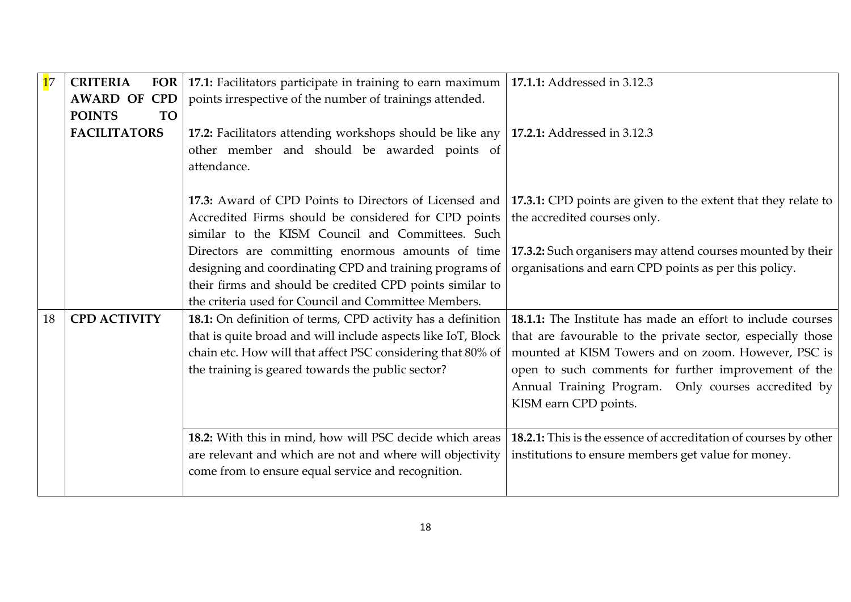| 17 | <b>CRITERIA</b><br><b>FOR</b> | 17.1: Facilitators participate in training to earn maximum   | 17.1.1: Addressed in 3.12.3                                      |
|----|-------------------------------|--------------------------------------------------------------|------------------------------------------------------------------|
|    | <b>AWARD OF</b><br><b>CPD</b> | points irrespective of the number of trainings attended.     |                                                                  |
|    | <b>POINTS</b><br><b>TO</b>    |                                                              |                                                                  |
|    | <b>FACILITATORS</b>           | 17.2: Facilitators attending workshops should be like any    | 17.2.1: Addressed in 3.12.3                                      |
|    |                               | other member and should be awarded points of                 |                                                                  |
|    |                               | attendance.                                                  |                                                                  |
|    |                               |                                                              |                                                                  |
|    |                               | 17.3: Award of CPD Points to Directors of Licensed and       | 17.3.1: CPD points are given to the extent that they relate to   |
|    |                               | Accredited Firms should be considered for CPD points         | the accredited courses only.                                     |
|    |                               | similar to the KISM Council and Committees. Such             |                                                                  |
|    |                               | Directors are committing enormous amounts of time            | 17.3.2: Such organisers may attend courses mounted by their      |
|    |                               | designing and coordinating CPD and training programs of      | organisations and earn CPD points as per this policy.            |
|    |                               | their firms and should be credited CPD points similar to     |                                                                  |
|    |                               | the criteria used for Council and Committee Members.         |                                                                  |
| 18 | <b>CPD ACTIVITY</b>           | 18.1: On definition of terms, CPD activity has a definition  | 18.1.1: The Institute has made an effort to include courses      |
|    |                               | that is quite broad and will include aspects like IoT, Block | that are favourable to the private sector, especially those      |
|    |                               | chain etc. How will that affect PSC considering that 80% of  | mounted at KISM Towers and on zoom. However, PSC is              |
|    |                               | the training is geared towards the public sector?            | open to such comments for further improvement of the             |
|    |                               |                                                              | Annual Training Program. Only courses accredited by              |
|    |                               |                                                              | KISM earn CPD points.                                            |
|    |                               |                                                              |                                                                  |
|    |                               | 18.2: With this in mind, how will PSC decide which areas     | 18.2.1: This is the essence of accreditation of courses by other |
|    |                               | are relevant and which are not and where will objectivity    | institutions to ensure members get value for money.              |
|    |                               | come from to ensure equal service and recognition.           |                                                                  |
|    |                               |                                                              |                                                                  |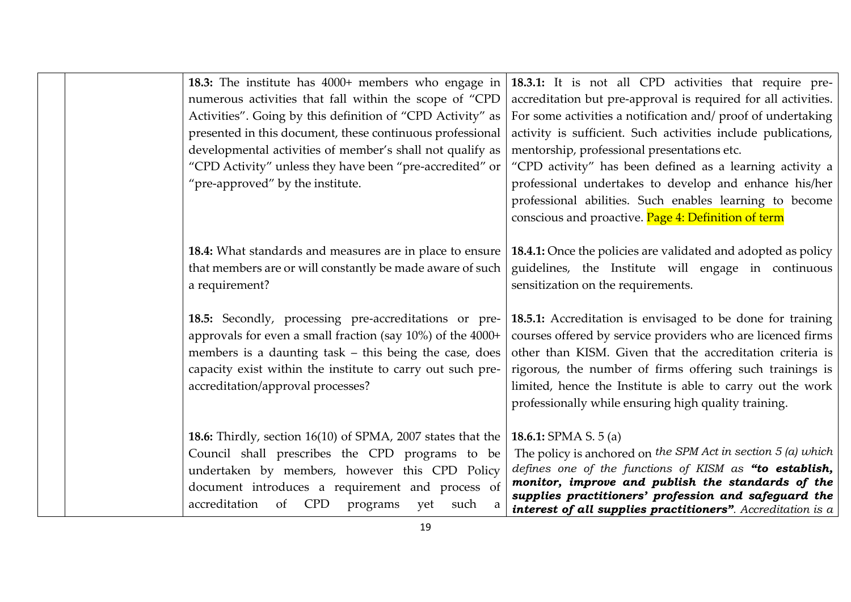| 18.3: The institute has 4000+ members who engage in<br>numerous activities that fall within the scope of "CPD<br>Activities". Going by this definition of "CPD Activity" as<br>presented in this document, these continuous professional<br>developmental activities of member's shall not qualify as<br>"CPD Activity" unless they have been "pre-accredited" or<br>"pre-approved" by the institute. | 18.3.1: It is not all CPD activities that require pre-<br>accreditation but pre-approval is required for all activities.<br>For some activities a notification and/proof of undertaking<br>activity is sufficient. Such activities include publications,<br>mentorship, professional presentations etc.<br>"CPD activity" has been defined as a learning activity a<br>professional undertakes to develop and enhance his/her<br>professional abilities. Such enables learning to become<br>conscious and proactive. Page 4: Definition of term |
|-------------------------------------------------------------------------------------------------------------------------------------------------------------------------------------------------------------------------------------------------------------------------------------------------------------------------------------------------------------------------------------------------------|-------------------------------------------------------------------------------------------------------------------------------------------------------------------------------------------------------------------------------------------------------------------------------------------------------------------------------------------------------------------------------------------------------------------------------------------------------------------------------------------------------------------------------------------------|
| <b>18.4:</b> What standards and measures are in place to ensure<br>that members are or will constantly be made aware of such<br>a requirement?                                                                                                                                                                                                                                                        | <b>18.4.1:</b> Once the policies are validated and adopted as policy<br>guidelines, the Institute will engage in continuous<br>sensitization on the requirements.                                                                                                                                                                                                                                                                                                                                                                               |
| 18.5: Secondly, processing pre-accreditations or pre-<br>approvals for even a small fraction (say $10\%$ ) of the $4000+$<br>members is a daunting task – this being the case, does<br>capacity exist within the institute to carry out such pre-<br>accreditation/approval processes?                                                                                                                | 18.5.1: Accreditation is envisaged to be done for training<br>courses offered by service providers who are licenced firms<br>other than KISM. Given that the accreditation criteria is<br>rigorous, the number of firms offering such trainings is<br>limited, hence the Institute is able to carry out the work<br>professionally while ensuring high quality training.                                                                                                                                                                        |
| <b>18.6:</b> Thirdly, section 16(10) of SPMA, 2007 states that the<br>Council shall prescribes the CPD programs to be<br>undertaken by members, however this CPD Policy<br>document introduces a requirement and process of<br>accreditation<br>of CPD<br>programs<br>yet<br>such<br>a                                                                                                                | 18.6.1: SPMA S. $5(a)$<br>The policy is anchored on the SPM Act in section $5$ (a) which<br>defines one of the functions of KISM as "to establish,<br>monitor, improve and publish the standards of the<br>supplies practitioners' profession and safeguard the<br>interest of all supplies practitioners". Accreditation is a                                                                                                                                                                                                                  |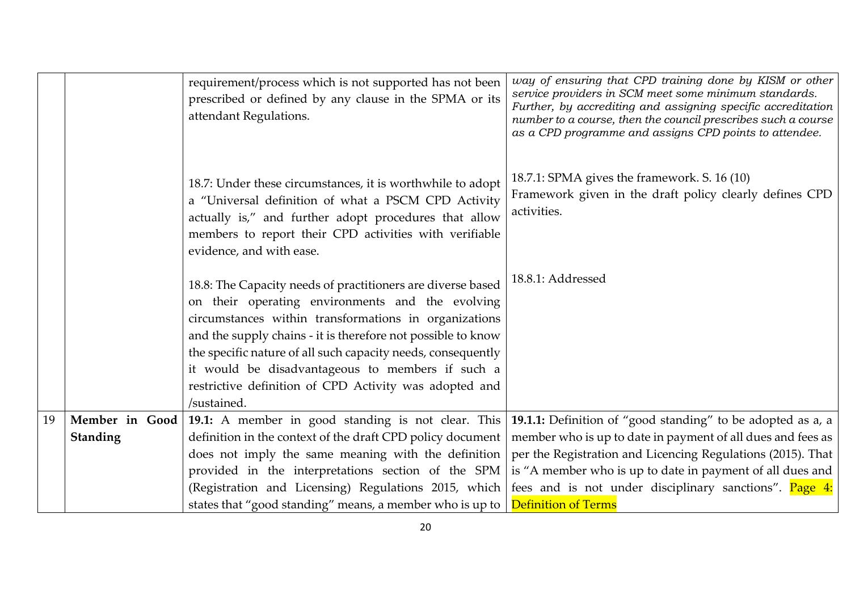|    |                                   | requirement/process which is not supported has not been<br>prescribed or defined by any clause in the SPMA or its<br>attendant Regulations.                                                                                                                                                                                                                                                                                           | way of ensuring that CPD training done by KISM or other<br>service providers in SCM meet some minimum standards.<br>Further, by accrediting and assigning specific accreditation<br>number to a course, then the council prescribes such a course<br>as a CPD programme and assigns CPD points to attendee.                                                                                                                                                                   |
|----|-----------------------------------|---------------------------------------------------------------------------------------------------------------------------------------------------------------------------------------------------------------------------------------------------------------------------------------------------------------------------------------------------------------------------------------------------------------------------------------|-------------------------------------------------------------------------------------------------------------------------------------------------------------------------------------------------------------------------------------------------------------------------------------------------------------------------------------------------------------------------------------------------------------------------------------------------------------------------------|
|    |                                   | 18.7: Under these circumstances, it is worthwhile to adopt<br>a "Universal definition of what a PSCM CPD Activity<br>actually is," and further adopt procedures that allow<br>members to report their CPD activities with verifiable<br>evidence, and with ease.                                                                                                                                                                      | 18.7.1: SPMA gives the framework. S. 16 (10)<br>Framework given in the draft policy clearly defines CPD<br>activities.                                                                                                                                                                                                                                                                                                                                                        |
|    |                                   | 18.8: The Capacity needs of practitioners are diverse based<br>on their operating environments and the evolving<br>circumstances within transformations in organizations<br>and the supply chains - it is therefore not possible to know<br>the specific nature of all such capacity needs, consequently<br>it would be disadvantageous to members if such a<br>restrictive definition of CPD Activity was adopted and<br>/sustained. | 18.8.1: Addressed                                                                                                                                                                                                                                                                                                                                                                                                                                                             |
| 19 | Member in Good<br><b>Standing</b> | definition in the context of the draft CPD policy document  <br>does not imply the same meaning with the definition $ $<br>states that "good standing" means, a member who is up to $\sqrt{\frac{1}{1}}$ Definition of Terms                                                                                                                                                                                                          | 19.1: A member in good standing is not clear. This 19.1.1: Definition of "good standing" to be adopted as a, a<br>member who is up to date in payment of all dues and fees as<br>per the Registration and Licencing Regulations (2015). That<br>provided in the interpretations section of the SPM is "A member who is up to date in payment of all dues and<br>(Registration and Licensing) Regulations 2015, which   fees and is not under disciplinary sanctions". Page 4: |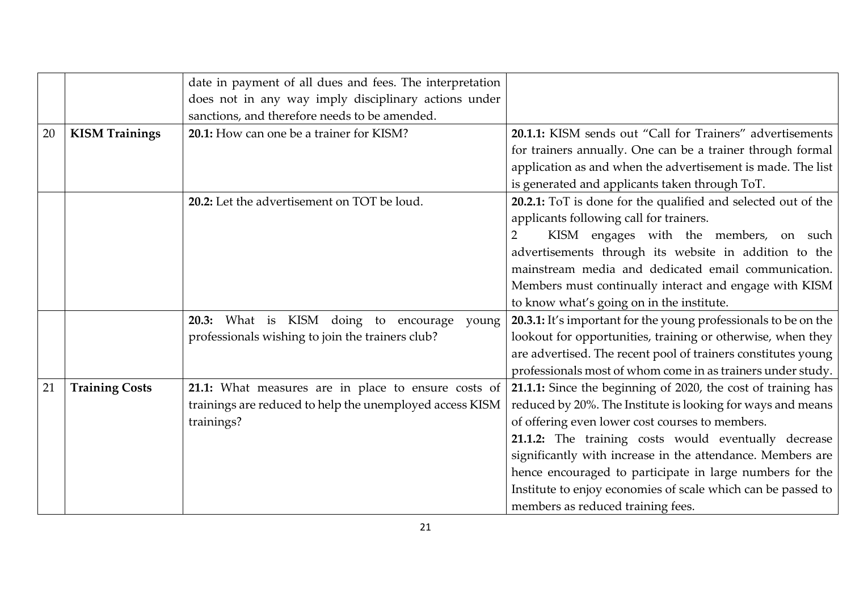|    |                       | date in payment of all dues and fees. The interpretation |                                                                 |
|----|-----------------------|----------------------------------------------------------|-----------------------------------------------------------------|
|    |                       | does not in any way imply disciplinary actions under     |                                                                 |
|    |                       | sanctions, and therefore needs to be amended.            |                                                                 |
| 20 | <b>KISM Trainings</b> | 20.1: How can one be a trainer for KISM?                 | 20.1.1: KISM sends out "Call for Trainers" advertisements       |
|    |                       |                                                          | for trainers annually. One can be a trainer through formal      |
|    |                       |                                                          | application as and when the advertisement is made. The list     |
|    |                       |                                                          | is generated and applicants taken through ToT.                  |
|    |                       | 20.2: Let the advertisement on TOT be loud.              | 20.2.1: ToT is done for the qualified and selected out of the   |
|    |                       |                                                          | applicants following call for trainers.                         |
|    |                       |                                                          | KISM engages with the members, on such                          |
|    |                       |                                                          | advertisements through its website in addition to the           |
|    |                       |                                                          | mainstream media and dedicated email communication.             |
|    |                       |                                                          | Members must continually interact and engage with KISM          |
|    |                       |                                                          | to know what's going on in the institute.                       |
|    |                       | 20.3: What is KISM doing to encourage<br>young           | 20.3.1: It's important for the young professionals to be on the |
|    |                       | professionals wishing to join the trainers club?         | lookout for opportunities, training or otherwise, when they     |
|    |                       |                                                          | are advertised. The recent pool of trainers constitutes young   |
|    |                       |                                                          | professionals most of whom come in as trainers under study.     |
| 21 | <b>Training Costs</b> | 21.1: What measures are in place to ensure costs of      | 21.1.1: Since the beginning of 2020, the cost of training has   |
|    |                       | trainings are reduced to help the unemployed access KISM | reduced by 20%. The Institute is looking for ways and means     |
|    |                       | trainings?                                               | of offering even lower cost courses to members.                 |
|    |                       |                                                          | 21.1.2: The training costs would eventually decrease            |
|    |                       |                                                          | significantly with increase in the attendance. Members are      |
|    |                       |                                                          | hence encouraged to participate in large numbers for the        |
|    |                       |                                                          | Institute to enjoy economies of scale which can be passed to    |
|    |                       |                                                          | members as reduced training fees.                               |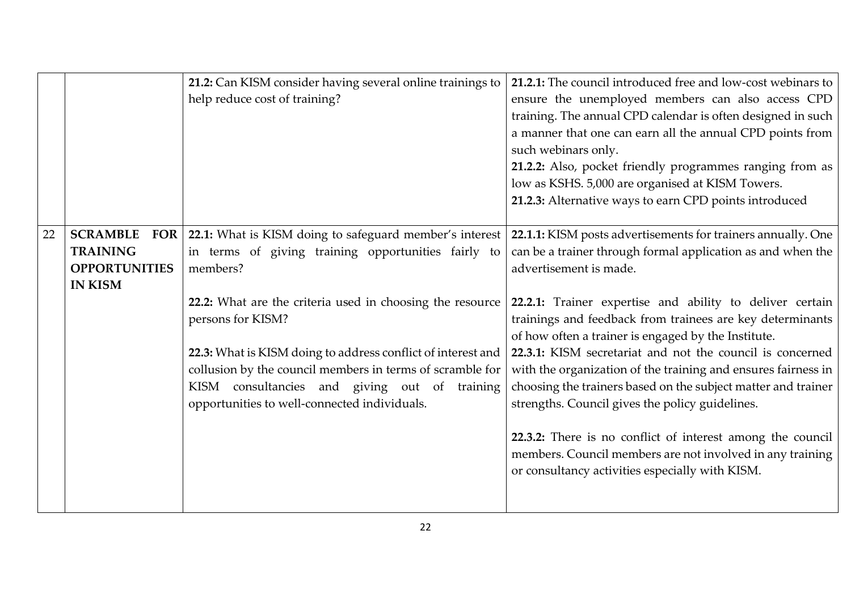|    |                                                                                            | 21.2: Can KISM consider having several online trainings to<br>help reduce cost of training?                                                                                                                                                                  | 21.2.1: The council introduced free and low-cost webinars to<br>ensure the unemployed members can also access CPD<br>training. The annual CPD calendar is often designed in such<br>a manner that one can earn all the annual CPD points from<br>such webinars only.<br>21.2.2: Also, pocket friendly programmes ranging from as<br>low as KSHS. 5,000 are organised at KISM Towers. |
|----|--------------------------------------------------------------------------------------------|--------------------------------------------------------------------------------------------------------------------------------------------------------------------------------------------------------------------------------------------------------------|--------------------------------------------------------------------------------------------------------------------------------------------------------------------------------------------------------------------------------------------------------------------------------------------------------------------------------------------------------------------------------------|
|    |                                                                                            |                                                                                                                                                                                                                                                              | 21.2.3: Alternative ways to earn CPD points introduced                                                                                                                                                                                                                                                                                                                               |
| 22 | <b>SCRAMBLE</b><br><b>FOR</b><br><b>TRAINING</b><br><b>OPPORTUNITIES</b><br><b>IN KISM</b> | 22.1: What is KISM doing to safeguard member's interest<br>in terms of giving training opportunities fairly to<br>members?                                                                                                                                   | 22.1.1: KISM posts advertisements for trainers annually. One<br>can be a trainer through formal application as and when the<br>advertisement is made.                                                                                                                                                                                                                                |
|    |                                                                                            | 22.2: What are the criteria used in choosing the resource<br>persons for KISM?<br>22.3: What is KISM doing to address conflict of interest and<br>collusion by the council members in terms of scramble for<br>KISM consultancies and giving out of training | 22.2.1: Trainer expertise and ability to deliver certain<br>trainings and feedback from trainees are key determinants<br>of how often a trainer is engaged by the Institute.<br>22.3.1: KISM secretariat and not the council is concerned<br>with the organization of the training and ensures fairness in<br>choosing the trainers based on the subject matter and trainer          |
|    |                                                                                            | opportunities to well-connected individuals.                                                                                                                                                                                                                 | strengths. Council gives the policy guidelines.<br>22.3.2: There is no conflict of interest among the council<br>members. Council members are not involved in any training<br>or consultancy activities especially with KISM.                                                                                                                                                        |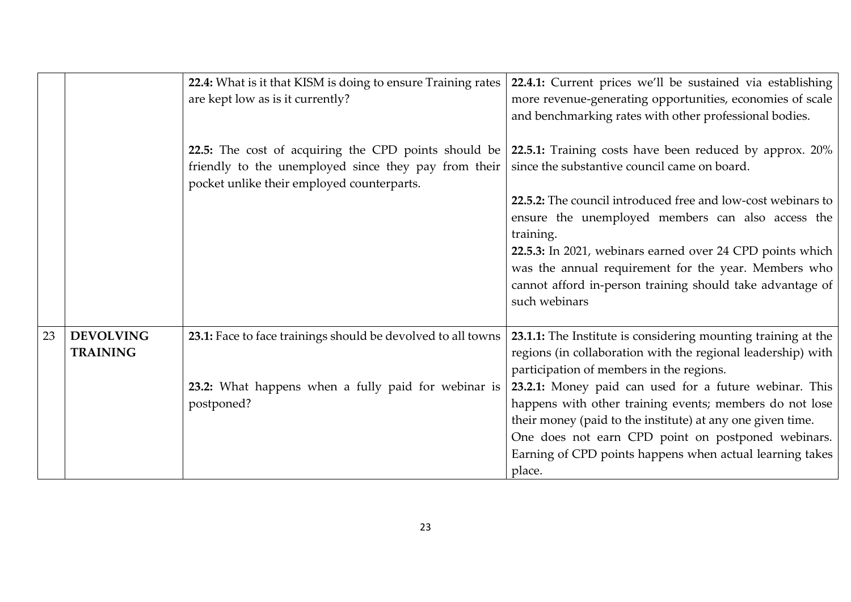|    |                                     | 22.4: What is it that KISM is doing to ensure Training rates<br>are kept low as is it currently?                                                           | 22.4.1: Current prices we'll be sustained via establishing<br>more revenue-generating opportunities, economies of scale<br>and benchmarking rates with other professional bodies.                                                                                                                           |
|----|-------------------------------------|------------------------------------------------------------------------------------------------------------------------------------------------------------|-------------------------------------------------------------------------------------------------------------------------------------------------------------------------------------------------------------------------------------------------------------------------------------------------------------|
|    |                                     | 22.5: The cost of acquiring the CPD points should be<br>friendly to the unemployed since they pay from their<br>pocket unlike their employed counterparts. | 22.5.1: Training costs have been reduced by approx. 20%<br>since the substantive council came on board.                                                                                                                                                                                                     |
|    |                                     |                                                                                                                                                            | 22.5.2: The council introduced free and low-cost webinars to<br>ensure the unemployed members can also access the<br>training.                                                                                                                                                                              |
|    |                                     |                                                                                                                                                            | 22.5.3: In 2021, webinars earned over 24 CPD points which<br>was the annual requirement for the year. Members who<br>cannot afford in-person training should take advantage of<br>such webinars                                                                                                             |
| 23 | <b>DEVOLVING</b><br><b>TRAINING</b> | 23.1: Face to face trainings should be devolved to all towns                                                                                               | 23.1.1: The Institute is considering mounting training at the<br>regions (in collaboration with the regional leadership) with<br>participation of members in the regions.                                                                                                                                   |
|    |                                     | 23.2: What happens when a fully paid for webinar is<br>postponed?                                                                                          | 23.2.1: Money paid can used for a future webinar. This<br>happens with other training events; members do not lose<br>their money (paid to the institute) at any one given time.<br>One does not earn CPD point on postponed webinars.<br>Earning of CPD points happens when actual learning takes<br>place. |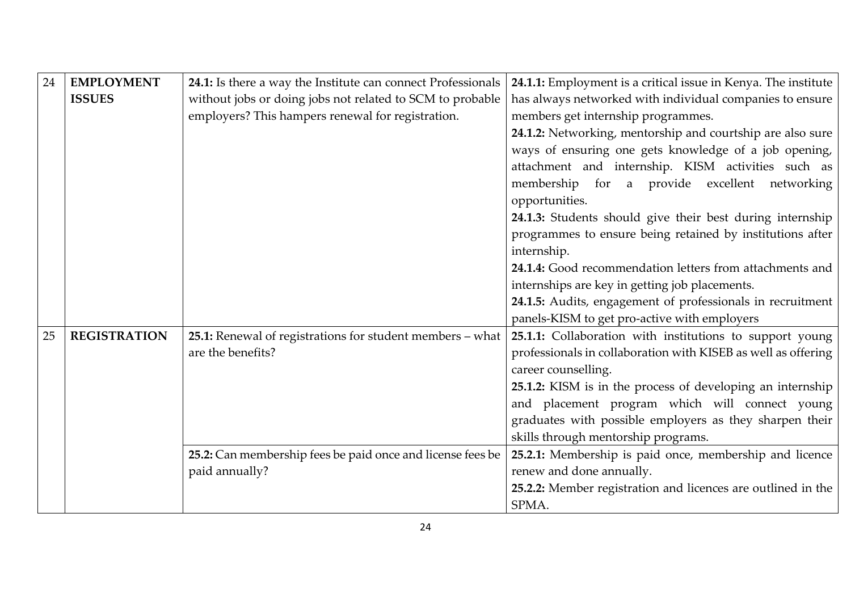| 24 | <b>EMPLOYMENT</b>   | 24.1: Is there a way the Institute can connect Professionals | 24.1.1: Employment is a critical issue in Kenya. The institute |
|----|---------------------|--------------------------------------------------------------|----------------------------------------------------------------|
|    | <b>ISSUES</b>       | without jobs or doing jobs not related to SCM to probable    | has always networked with individual companies to ensure       |
|    |                     | employers? This hampers renewal for registration.            | members get internship programmes.                             |
|    |                     |                                                              | 24.1.2: Networking, mentorship and courtship are also sure     |
|    |                     |                                                              | ways of ensuring one gets knowledge of a job opening,          |
|    |                     |                                                              | attachment and internship. KISM activities such as             |
|    |                     |                                                              | membership for a provide excellent networking                  |
|    |                     |                                                              | opportunities.                                                 |
|    |                     |                                                              | 24.1.3: Students should give their best during internship      |
|    |                     |                                                              | programmes to ensure being retained by institutions after      |
|    |                     |                                                              | internship.                                                    |
|    |                     |                                                              | 24.1.4: Good recommendation letters from attachments and       |
|    |                     |                                                              | internships are key in getting job placements.                 |
|    |                     |                                                              | 24.1.5: Audits, engagement of professionals in recruitment     |
|    |                     |                                                              | panels-KISM to get pro-active with employers                   |
| 25 | <b>REGISTRATION</b> | 25.1: Renewal of registrations for student members - what    | 25.1.1: Collaboration with institutions to support young       |
|    |                     | are the benefits?                                            | professionals in collaboration with KISEB as well as offering  |
|    |                     |                                                              | career counselling.                                            |
|    |                     |                                                              | 25.1.2: KISM is in the process of developing an internship     |
|    |                     |                                                              | and placement program which will connect young                 |
|    |                     |                                                              | graduates with possible employers as they sharpen their        |
|    |                     |                                                              | skills through mentorship programs.                            |
|    |                     | 25.2: Can membership fees be paid once and license fees be   | 25.2.1: Membership is paid once, membership and licence        |
|    |                     | paid annually?                                               | renew and done annually.                                       |
|    |                     |                                                              | 25.2.2: Member registration and licences are outlined in the   |
|    |                     |                                                              | SPMA.                                                          |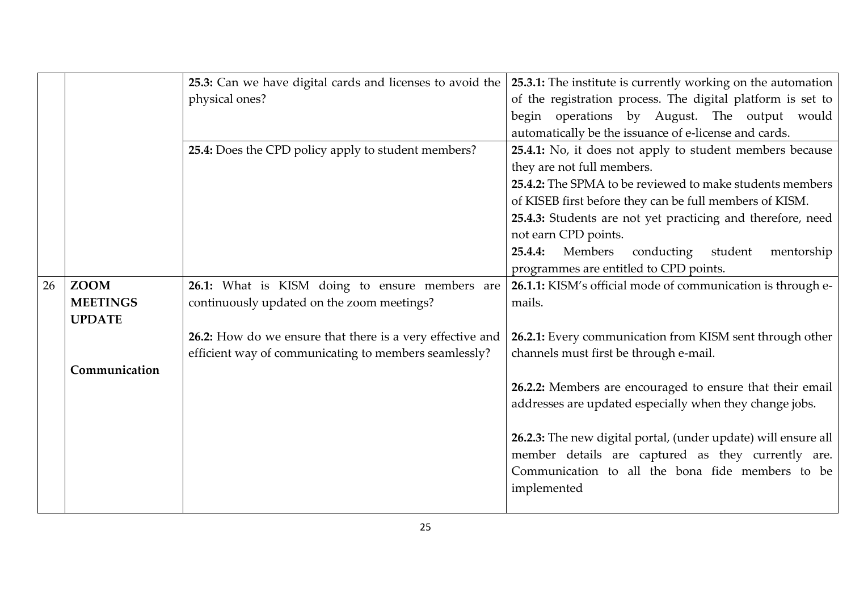|    |                 | 25.3: Can we have digital cards and licenses to avoid the | 25.3.1: The institute is currently working on the automation   |
|----|-----------------|-----------------------------------------------------------|----------------------------------------------------------------|
|    |                 | physical ones?                                            | of the registration process. The digital platform is set to    |
|    |                 |                                                           | begin operations by August. The output would                   |
|    |                 |                                                           | automatically be the issuance of e-license and cards.          |
|    |                 | 25.4: Does the CPD policy apply to student members?       | 25.4.1: No, it does not apply to student members because       |
|    |                 |                                                           | they are not full members.                                     |
|    |                 |                                                           | 25.4.2: The SPMA to be reviewed to make students members       |
|    |                 |                                                           | of KISEB first before they can be full members of KISM.        |
|    |                 |                                                           | 25.4.3: Students are not yet practicing and therefore, need    |
|    |                 |                                                           | not earn CPD points.                                           |
|    |                 |                                                           | 25.4.4:<br>Members<br>conducting<br>student<br>mentorship      |
|    |                 |                                                           | programmes are entitled to CPD points.                         |
| 26 | <b>ZOOM</b>     | 26.1: What is KISM doing to ensure members are            | 26.1.1: KISM's official mode of communication is through e-    |
|    | <b>MEETINGS</b> | continuously updated on the zoom meetings?                | mails.                                                         |
|    | <b>UPDATE</b>   |                                                           |                                                                |
|    |                 | 26.2: How do we ensure that there is a very effective and | 26.2.1: Every communication from KISM sent through other       |
|    |                 | efficient way of communicating to members seamlessly?     | channels must first be through e-mail.                         |
|    | Communication   |                                                           |                                                                |
|    |                 |                                                           | 26.2.2: Members are encouraged to ensure that their email      |
|    |                 |                                                           | addresses are updated especially when they change jobs.        |
|    |                 |                                                           |                                                                |
|    |                 |                                                           | 26.2.3: The new digital portal, (under update) will ensure all |
|    |                 |                                                           | member details are captured as they currently are.             |
|    |                 |                                                           | Communication to all the bona fide members to be               |
|    |                 |                                                           | implemented                                                    |
|    |                 |                                                           |                                                                |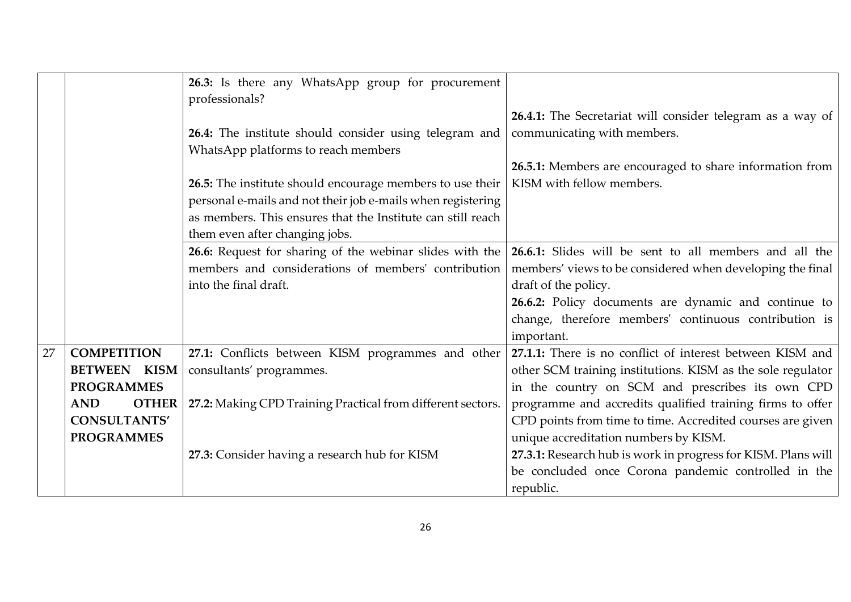|    |                                          | 26.3: Is there any WhatsApp group for procurement<br>professionals?                                                      |                                                                                                                             |
|----|------------------------------------------|--------------------------------------------------------------------------------------------------------------------------|-----------------------------------------------------------------------------------------------------------------------------|
|    |                                          | 26.4: The institute should consider using telegram and<br>WhatsApp platforms to reach members                            | <b>26.4.1:</b> The Secretariat will consider telegram as a way of<br>communicating with members.                            |
|    |                                          | 26.5: The institute should encourage members to use their<br>personal e-mails and not their job e-mails when registering | 26.5.1: Members are encouraged to share information from<br>KISM with fellow members.                                       |
|    |                                          | as members. This ensures that the Institute can still reach<br>them even after changing jobs.                            |                                                                                                                             |
|    |                                          | 26.6: Request for sharing of the webinar slides with the<br>members and considerations of members' contribution          | 26.6.1: Slides will be sent to all members and all the                                                                      |
|    |                                          | into the final draft.                                                                                                    | members' views to be considered when developing the final<br>draft of the policy.                                           |
|    |                                          |                                                                                                                          | 26.6.2: Policy documents are dynamic and continue to<br>change, therefore members' continuous contribution is<br>important. |
| 27 | <b>COMPETITION</b>                       | 27.1: Conflicts between KISM programmes and other                                                                        | 27.1.1: There is no conflict of interest between KISM and                                                                   |
|    | <b>BETWEEN KISM</b><br><b>PROGRAMMES</b> | consultants' programmes.                                                                                                 | other SCM training institutions. KISM as the sole regulator<br>in the country on SCM and prescribes its own CPD             |
|    | <b>AND</b><br><b>OTHER</b>               | 27.2: Making CPD Training Practical from different sectors.                                                              | programme and accredits qualified training firms to offer                                                                   |
|    | <b>CONSULTANTS'</b>                      |                                                                                                                          | CPD points from time to time. Accredited courses are given                                                                  |
|    | <b>PROGRAMMES</b>                        |                                                                                                                          | unique accreditation numbers by KISM.                                                                                       |
|    |                                          | 27.3: Consider having a research hub for KISM                                                                            | 27.3.1: Research hub is work in progress for KISM. Plans will<br>be concluded once Corona pandemic controlled in the        |
|    |                                          |                                                                                                                          | republic.                                                                                                                   |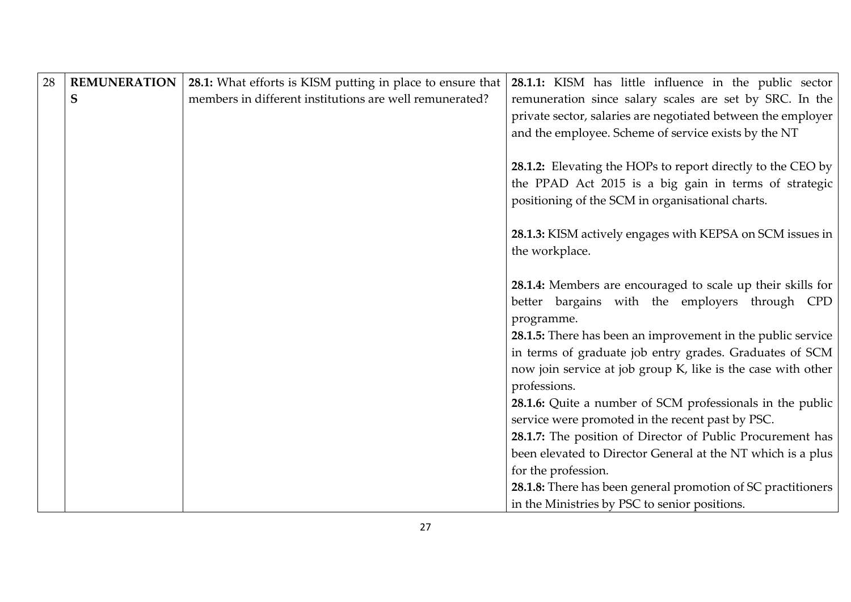| 28 | <b>REMUNERATION</b> | 28.1: What efforts is KISM putting in place to ensure that | 28.1.1: KISM has little influence in the public sector       |
|----|---------------------|------------------------------------------------------------|--------------------------------------------------------------|
|    | S                   | members in different institutions are well remunerated?    | remuneration since salary scales are set by SRC. In the      |
|    |                     |                                                            | private sector, salaries are negotiated between the employer |
|    |                     |                                                            | and the employee. Scheme of service exists by the NT         |
|    |                     |                                                            |                                                              |
|    |                     |                                                            | 28.1.2: Elevating the HOPs to report directly to the CEO by  |
|    |                     |                                                            | the PPAD Act 2015 is a big gain in terms of strategic        |
|    |                     |                                                            | positioning of the SCM in organisational charts.             |
|    |                     |                                                            |                                                              |
|    |                     |                                                            | 28.1.3: KISM actively engages with KEPSA on SCM issues in    |
|    |                     |                                                            | the workplace.                                               |
|    |                     |                                                            |                                                              |
|    |                     |                                                            | 28.1.4: Members are encouraged to scale up their skills for  |
|    |                     |                                                            | better bargains with the employers through CPD               |
|    |                     |                                                            | programme.                                                   |
|    |                     |                                                            | 28.1.5: There has been an improvement in the public service  |
|    |                     |                                                            | in terms of graduate job entry grades. Graduates of SCM      |
|    |                     |                                                            | now join service at job group K, like is the case with other |
|    |                     |                                                            | professions.                                                 |
|    |                     |                                                            | 28.1.6: Quite a number of SCM professionals in the public    |
|    |                     |                                                            | service were promoted in the recent past by PSC.             |
|    |                     |                                                            | 28.1.7: The position of Director of Public Procurement has   |
|    |                     |                                                            | been elevated to Director General at the NT which is a plus  |
|    |                     |                                                            | for the profession.                                          |
|    |                     |                                                            | 28.1.8: There has been general promotion of SC practitioners |
|    |                     |                                                            | in the Ministries by PSC to senior positions.                |